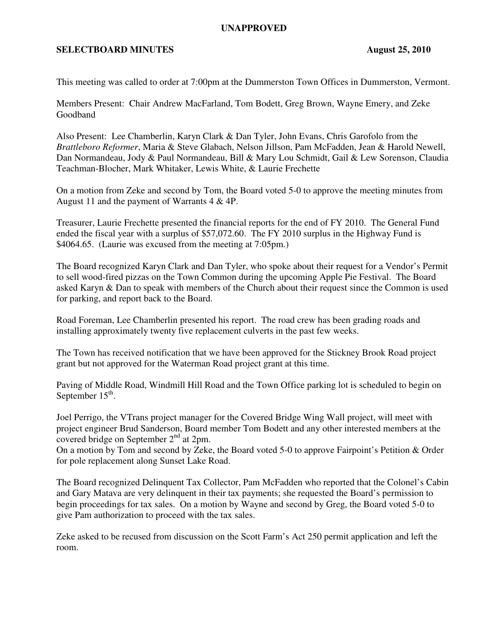## **UNAPPROVED**

## **SELECTBOARD MINUTES** August 25, 2010

This meeting was called to order at 7:00pm at the Dummerston Town Offices in Dummerston, Vermont.

Members Present: Chair Andrew MacFarland, Tom Bodett, Greg Brown, Wayne Emery, and Zeke Goodband

Also Present: Lee Chamberlin, Karyn Clark & Dan Tyler, John Evans, Chris Garofolo from the *Brattleboro Reformer*, Maria & Steve Glabach, Nelson Jillson, Pam McFadden, Jean & Harold Newell, Dan Normandeau, Jody & Paul Normandeau, Bill & Mary Lou Schmidt, Gail & Lew Sorenson, Claudia Teachman-Blocher, Mark Whitaker, Lewis White, & Laurie Frechette

On a motion from Zeke and second by Tom, the Board voted 5-0 to approve the meeting minutes from August 11 and the payment of Warrants 4 & 4P.

Treasurer, Laurie Frechette presented the financial reports for the end of FY 2010. The General Fund ended the fiscal year with a surplus of \$57,072.60. The FY 2010 surplus in the Highway Fund is \$4064.65. (Laurie was excused from the meeting at 7:05pm.)

The Board recognized Karyn Clark and Dan Tyler, who spoke about their request for a Vendor's Permit to sell wood-fired pizzas on the Town Common during the upcoming Apple Pie Festival. The Board asked Karyn & Dan to speak with members of the Church about their request since the Common is used for parking, and report back to the Board.

Road Foreman, Lee Chamberlin presented his report. The road crew has been grading roads and installing approximately twenty five replacement culverts in the past few weeks.

The Town has received notification that we have been approved for the Stickney Brook Road project grant but not approved for the Waterman Road project grant at this time.

Paving of Middle Road, Windmill Hill Road and the Town Office parking lot is scheduled to begin on September  $15^{\text{th}}$ .

Joel Perrigo, the VTrans project manager for the Covered Bridge Wing Wall project, will meet with project engineer Brud Sanderson, Board member Tom Bodett and any other interested members at the covered bridge on September 2nd at 2pm.

On a motion by Tom and second by Zeke, the Board voted 5-0 to approve Fairpoint's Petition & Order for pole replacement along Sunset Lake Road.

The Board recognized Delinquent Tax Collector, Pam McFadden who reported that the Colonel's Cabin and Gary Matava are very delinquent in their tax payments; she requested the Board's permission to begin proceedings for tax sales. On a motion by Wayne and second by Greg, the Board voted 5-0 to give Pam authorization to proceed with the tax sales.

Zeke asked to be recused from discussion on the Scott Farm's Act 250 permit application and left the room.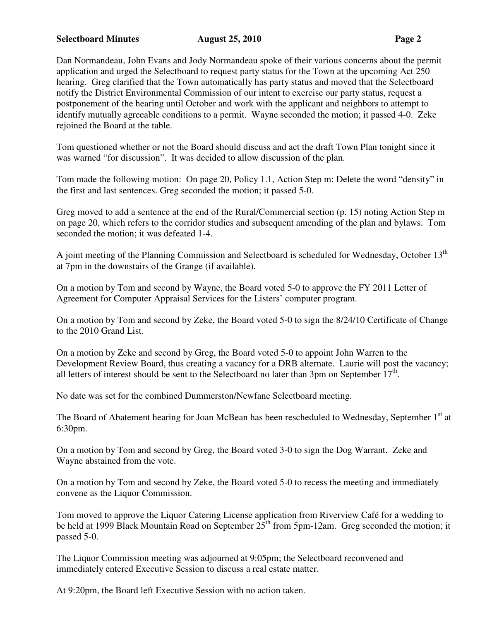## **Selectboard Minutes August 25, 2010 Page 2**

Dan Normandeau, John Evans and Jody Normandeau spoke of their various concerns about the permit application and urged the Selectboard to request party status for the Town at the upcoming Act 250 hearing. Greg clarified that the Town automatically has party status and moved that the Selectboard notify the District Environmental Commission of our intent to exercise our party status, request a postponement of the hearing until October and work with the applicant and neighbors to attempt to identify mutually agreeable conditions to a permit. Wayne seconded the motion; it passed 4-0. Zeke rejoined the Board at the table.

Tom questioned whether or not the Board should discuss and act the draft Town Plan tonight since it was warned "for discussion". It was decided to allow discussion of the plan.

Tom made the following motion: On page 20, Policy 1.1, Action Step m: Delete the word "density" in the first and last sentences. Greg seconded the motion; it passed 5-0.

Greg moved to add a sentence at the end of the Rural/Commercial section (p. 15) noting Action Step m on page 20, which refers to the corridor studies and subsequent amending of the plan and bylaws. Tom seconded the motion; it was defeated 1-4.

A joint meeting of the Planning Commission and Selectboard is scheduled for Wednesday, October 13<sup>th</sup> at 7pm in the downstairs of the Grange (if available).

On a motion by Tom and second by Wayne, the Board voted 5-0 to approve the FY 2011 Letter of Agreement for Computer Appraisal Services for the Listers' computer program.

On a motion by Tom and second by Zeke, the Board voted 5-0 to sign the 8/24/10 Certificate of Change to the 2010 Grand List.

On a motion by Zeke and second by Greg, the Board voted 5-0 to appoint John Warren to the Development Review Board, thus creating a vacancy for a DRB alternate. Laurie will post the vacancy; all letters of interest should be sent to the Selectboard no later than 3pm on September  $17<sup>th</sup>$ .

No date was set for the combined Dummerston/Newfane Selectboard meeting.

The Board of Abatement hearing for Joan McBean has been rescheduled to Wednesday, September 1<sup>st</sup> at 6:30pm.

On a motion by Tom and second by Greg, the Board voted 3-0 to sign the Dog Warrant. Zeke and Wayne abstained from the vote.

On a motion by Tom and second by Zeke, the Board voted 5-0 to recess the meeting and immediately convene as the Liquor Commission.

Tom moved to approve the Liquor Catering License application from Riverview Café for a wedding to be held at 1999 Black Mountain Road on September 25<sup>th</sup> from 5pm-12am. Greg seconded the motion; it passed 5-0.

The Liquor Commission meeting was adjourned at 9:05pm; the Selectboard reconvened and immediately entered Executive Session to discuss a real estate matter.

At 9:20pm, the Board left Executive Session with no action taken.